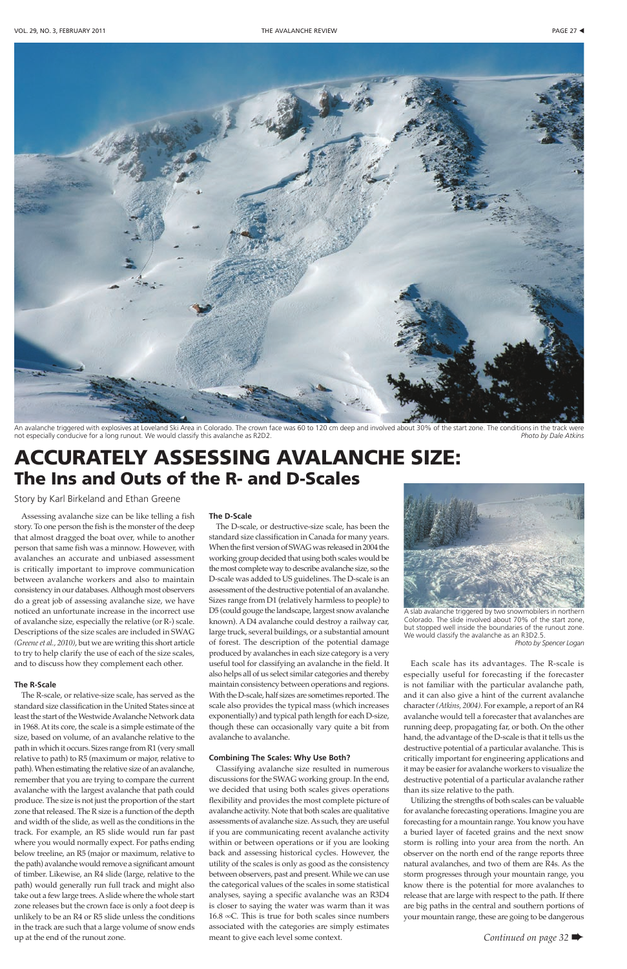# ACCURATELY ASSESSING AVALANCHE SIZE: The Ins and Outs of the R- and D-Scales

Story by Karl Birkeland and Ethan Greene

Assessing avalanche size can be like telling a fish story. To one person the fish is the monster of the deep that almost dragged the boat over, while to another person that same fish was a minnow. However, with avalanches an accurate and unbiased assessment is critically important to improve communication between avalanche workers and also to maintain consistency in our databases. Although most observers do a great job of assessing avalanche size, we have noticed an unfortunate increase in the incorrect use of avalanche size, especially the relative (or R-) scale. Descriptions of the size scales are included in SWAG *(Greene et al., 2010)*, but we are writing this short article to try to help clarify the use of each of the size scales, and to discuss how they complement each other.

## **The R-Scale**

The R-scale, or relative-size scale, has served as the standard size classification in the United States since at least the start of the Westwide Avalanche Network data in 1968. At its core, the scale is a simple estimate of the size, based on volume, of an avalanche relative to the path in which it occurs. Sizes range from R1 (very small relative to path) to R5 (maximum or major, relative to path). When estimating the relative size of an avalanche, remember that you are trying to compare the current avalanche with the largest avalanche that path could produce. The size is not just the proportion of the start zone that released. The R size is a function of the depth and width of the slide, as well as the conditions in the track. For example, an R5 slide would run far past where you would normally expect. For paths ending below treeline, an R5 (major or maximum, relative to the path) avalanche would remove a significant amount of timber. Likewise, an R4 slide (large, relative to the path) would generally run full track and might also take out a few large trees. A slide where the whole start zone releases but the crown face is only a foot deep is unlikely to be an R4 or R5 slide unless the conditions in the track are such that a large volume of snow ends up at the end of the runout zone.

#### **The D-Scale**

The D-scale, or destructive-size scale, has been the standard size classification in Canada for many years. When the first version of SWAG was released in 2004 the working group decided that using both scales would be the most complete way to describe avalanche size, so the D-scale was added to US guidelines. The D-scale is an assessment of the destructive potential of an avalanche. Sizes range from D1 (relatively harmless to people) to D5 (could gouge the landscape, largest snow avalanche known). A D4 avalanche could destroy a railway car, large truck, several buildings, or a substantial amount of forest. The description of the potential damage produced by avalanches in each size category is a very useful tool for classifying an avalanche in the field. It also helps all of us select similar categories and thereby maintain consistency between operations and regions. With the D-scale, half sizes are sometimes reported. The scale also provides the typical mass (which increases

exponentially) and typical path length for each D-size, though these can occasionally vary quite a bit from avalanche to avalanche.

#### **Combining The Scales: Why Use Both?**

Classifying avalanche size resulted in numerous discussions for the SWAG working group. In the end, we decided that using both scales gives operations flexibility and provides the most complete picture of avalanche activity. Note that both scales are qualitative assessments of avalanche size. As such, they are useful if you are communicating recent avalanche activity within or between operations or if you are looking back and assessing historical cycles. However, the utility of the scales is only as good as the consistency between observers, past and present. While we can use the categorical values of the scales in some statistical analyses, saying a specific avalanche was an R3D4 is closer to saying the water was warm than it was 16.8 ∞C. This is true for both scales since numbers associated with the categories are simply estimates meant to give each level some context.

Each scale has its advantages. The R-scale is especially useful for forecasting if the forecaster is not familiar with the particular avalanche path, and it can also give a hint of the current avalanche character *(Atkins, 2004)*. For example, a report of an R4 avalanche would tell a forecaster that avalanches are running deep, propagating far, or both. On the other hand, the advantage of the D-scale is that it tells us the destructive potential of a particular avalanche. This is critically important for engineering applications and it may be easier for avalanche workers to visualize the destructive potential of a particular avalanche rather than its size relative to the path. Utilizing the strengths of both scales can be valuable for avalanche forecasting operations. Imagine you are forecasting for a mountain range. You know you have a buried layer of faceted grains and the next snow storm is rolling into your area from the north. An observer on the north end of the range reports three natural avalanches, and two of them are R4s. As the storm progresses through your mountain range, you know there is the potential for more avalanches to release that are large with respect to the path. If there are big paths in the central and southern portions of your mountain range, these are going to be dangerous







An avalanche triggered with explosives at Loveland Ski Area in Colorado. The crown face was 60 to 120 cm deep and involved about 30% of the start zone. The conditions in the track were not especially conducive for a long runout. We would classify this avalanche as R2D2. *Photo by Dale Atkins*



A slab avalanche triggered by two snowmobilers in northern Colorado. The slide involved about 70% of the start zone, but stopped well inside the boundaries of the runout zone. We would classify the avalanche as an R3D2.5. *Photo by Spencer Logan*